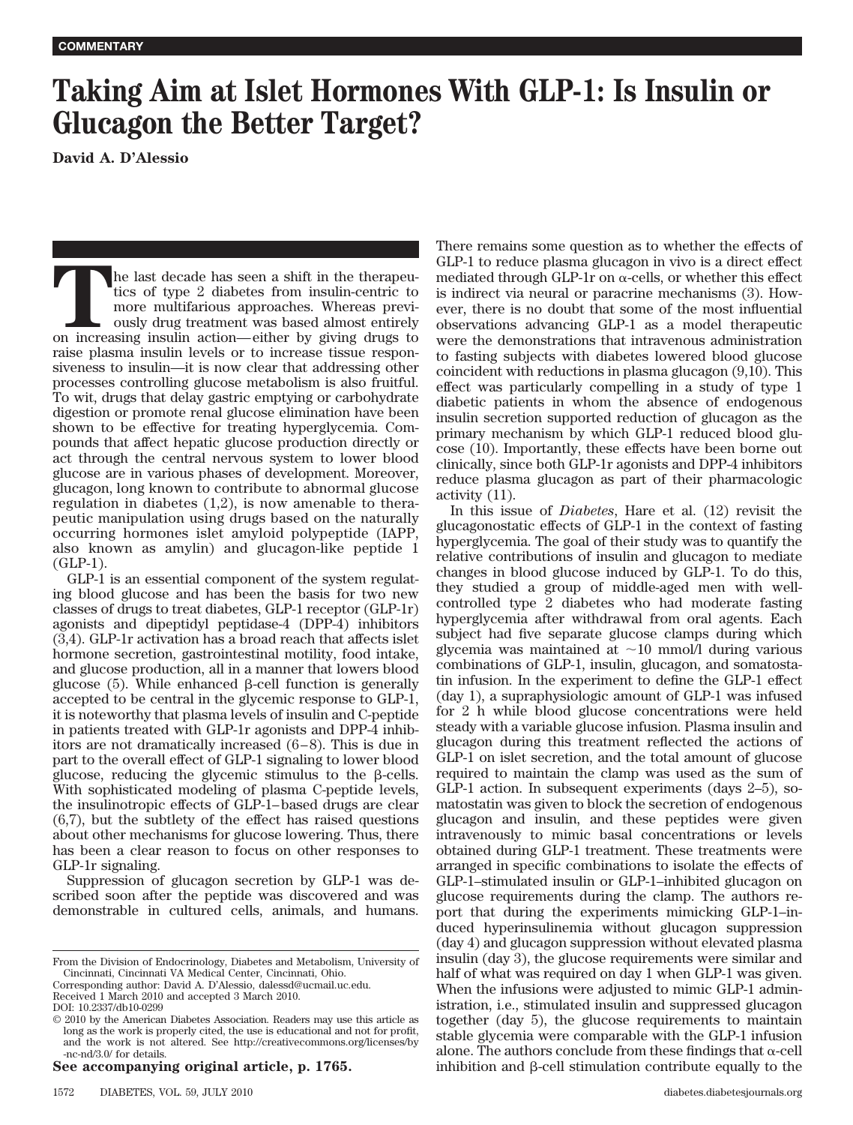## **Taking Aim at Islet Hormones With GLP-1: Is Insulin or Glucagon the Better Target?**

**David A. D'Alessio**

The last decade has seen a shift in the therapeutics of type 2 diabetes from insulin-centric to more multifarious approaches. Whereas previously drug treatment was based almost entirely on increasing insulin action—either tics of type 2 diabetes from insulin-centric to more multifarious approaches. Whereas previously drug treatment was based almost entirely raise plasma insulin levels or to increase tissue responsiveness to insulin—it is now clear that addressing other processes controlling glucose metabolism is also fruitful. To wit, drugs that delay gastric emptying or carbohydrate digestion or promote renal glucose elimination have been shown to be effective for treating hyperglycemia. Compounds that affect hepatic glucose production directly or act through the central nervous system to lower blood glucose are in various phases of development. Moreover, glucagon, long known to contribute to abnormal glucose regulation in diabetes  $(1,2)$ , is now amenable to therapeutic manipulation using drugs based on the naturally occurring hormones islet amyloid polypeptide (IAPP, also known as amylin) and glucagon-like peptide 1 (GLP-1).

GLP-1 is an essential component of the system regulating blood glucose and has been the basis for two new classes of drugs to treat diabetes, GLP-1 receptor (GLP-1r) agonists and dipeptidyl peptidase-4 (DPP-4) inhibitors (3,4). GLP-1r activation has a broad reach that affects islet hormone secretion, gastrointestinal motility, food intake, and glucose production, all in a manner that lowers blood glucose  $(5)$ . While enhanced  $\beta$ -cell function is generally accepted to be central in the glycemic response to GLP-1, it is noteworthy that plasma levels of insulin and C-peptide in patients treated with GLP-1r agonists and DPP-4 inhibitors are not dramatically increased (6–8). This is due in part to the overall effect of GLP-1 signaling to lower blood glucose, reducing the glycemic stimulus to the  $\beta$ -cells. With sophisticated modeling of plasma C-peptide levels, the insulinotropic effects of GLP-1–based drugs are clear (6,7), but the subtlety of the effect has raised questions about other mechanisms for glucose lowering. Thus, there has been a clear reason to focus on other responses to GLP-1r signaling.

Suppression of glucagon secretion by GLP-1 was described soon after the peptide was discovered and was demonstrable in cultured cells, animals, and humans.

Corresponding author: David A. D'Alessio, dalessd@ucmail.uc.edu. Received 1 March 2010 and accepted 3 March 2010.

© 2010 by the American Diabetes Association. Readers may use this article as long as the work is properly cited, the use is educational and not for profit, and the work is not altered. See http://creativecommons.org/licenses/by -nc-nd/3.0/ for details.

**See accompanying original article, p. 1765.**

There remains some question as to whether the effects of GLP-1 to reduce plasma glucagon in vivo is a direct effect mediated through GLP-1r on  $\alpha$ -cells, or whether this effect is indirect via neural or paracrine mechanisms (3). However, there is no doubt that some of the most influential observations advancing GLP-1 as a model therapeutic were the demonstrations that intravenous administration to fasting subjects with diabetes lowered blood glucose coincident with reductions in plasma glucagon (9,10). This effect was particularly compelling in a study of type 1 diabetic patients in whom the absence of endogenous insulin secretion supported reduction of glucagon as the primary mechanism by which GLP-1 reduced blood glucose (10). Importantly, these effects have been borne out clinically, since both GLP-1r agonists and DPP-4 inhibitors reduce plasma glucagon as part of their pharmacologic activity (11).

In this issue of *Diabetes*, Hare et al. (12) revisit the glucagonostatic effects of GLP-1 in the context of fasting hyperglycemia. The goal of their study was to quantify the relative contributions of insulin and glucagon to mediate changes in blood glucose induced by GLP-1. To do this, they studied a group of middle-aged men with wellcontrolled type 2 diabetes who had moderate fasting hyperglycemia after withdrawal from oral agents. Each subject had five separate glucose clamps during which glycemia was maintained at  $\sim$ 10 mmol/l during various combinations of GLP-1, insulin, glucagon, and somatostatin infusion. In the experiment to define the GLP-1 effect (day 1), a supraphysiologic amount of GLP-1 was infused for 2 h while blood glucose concentrations were held steady with a variable glucose infusion. Plasma insulin and glucagon during this treatment reflected the actions of GLP-1 on islet secretion, and the total amount of glucose required to maintain the clamp was used as the sum of GLP-1 action. In subsequent experiments (days 2–5), somatostatin was given to block the secretion of endogenous glucagon and insulin, and these peptides were given intravenously to mimic basal concentrations or levels obtained during GLP-1 treatment. These treatments were arranged in specific combinations to isolate the effects of GLP-1–stimulated insulin or GLP-1–inhibited glucagon on glucose requirements during the clamp. The authors report that during the experiments mimicking GLP-1–induced hyperinsulinemia without glucagon suppression (day 4) and glucagon suppression without elevated plasma insulin (day 3), the glucose requirements were similar and half of what was required on day 1 when GLP-1 was given. When the infusions were adjusted to mimic GLP-1 administration, i.e., stimulated insulin and suppressed glucagon together (day 5), the glucose requirements to maintain stable glycemia were comparable with the GLP-1 infusion alone. The authors conclude from these findings that  $\alpha$ -cell inhibition and  $\beta$ -cell stimulation contribute equally to the

From the Division of Endocrinology, Diabetes and Metabolism, University of Cincinnati, Cincinnati VA Medical Center, Cincinnati, Ohio.

DOI: 10.2337/db10-0299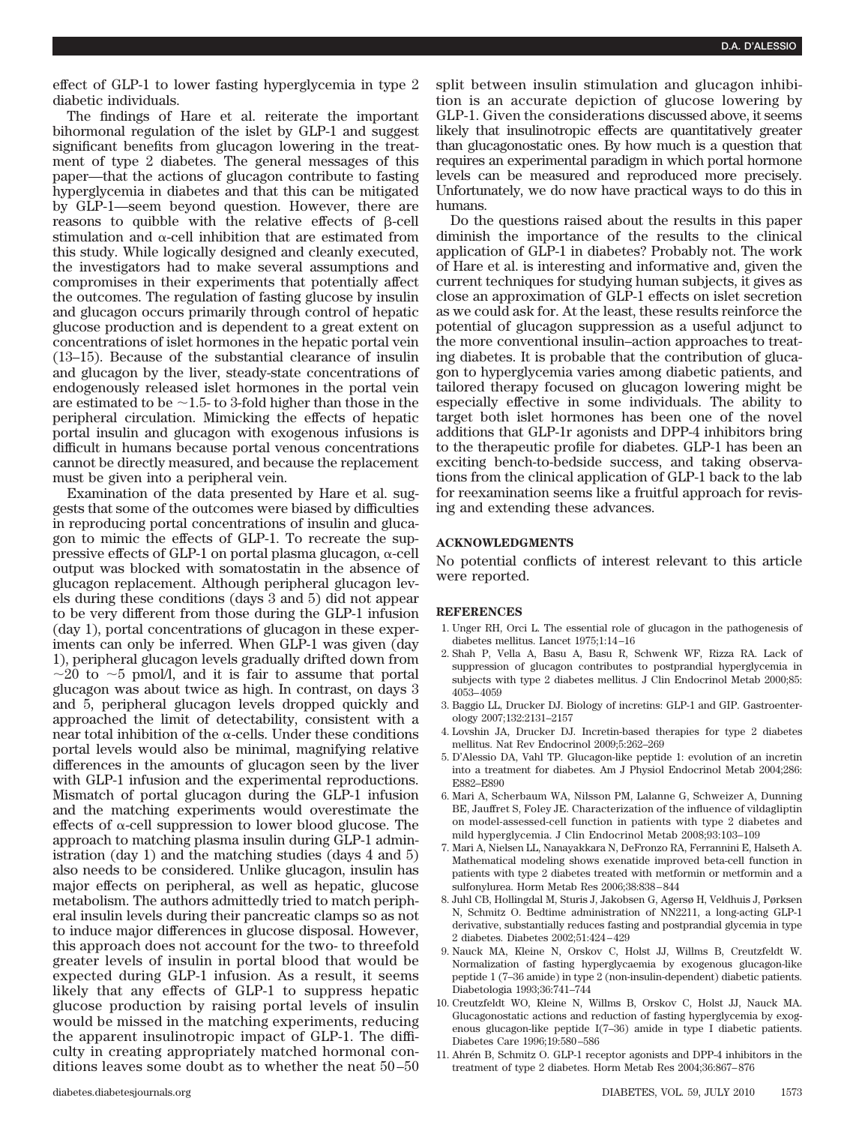effect of GLP-1 to lower fasting hyperglycemia in type 2 diabetic individuals.

The findings of Hare et al. reiterate the important bihormonal regulation of the islet by GLP-1 and suggest significant benefits from glucagon lowering in the treatment of type 2 diabetes. The general messages of this paper—that the actions of glucagon contribute to fasting hyperglycemia in diabetes and that this can be mitigated by GLP-1—seem beyond question. However, there are reasons to quibble with the relative effects of  $\beta$ -cell stimulation and  $\alpha$ -cell inhibition that are estimated from this study. While logically designed and cleanly executed, the investigators had to make several assumptions and compromises in their experiments that potentially affect the outcomes. The regulation of fasting glucose by insulin and glucagon occurs primarily through control of hepatic glucose production and is dependent to a great extent on concentrations of islet hormones in the hepatic portal vein (13–15). Because of the substantial clearance of insulin and glucagon by the liver, steady-state concentrations of endogenously released islet hormones in the portal vein are estimated to be  $\sim$  1.5- to 3-fold higher than those in the peripheral circulation. Mimicking the effects of hepatic portal insulin and glucagon with exogenous infusions is difficult in humans because portal venous concentrations cannot be directly measured, and because the replacement must be given into a peripheral vein.

Examination of the data presented by Hare et al. suggests that some of the outcomes were biased by difficulties in reproducing portal concentrations of insulin and glucagon to mimic the effects of GLP-1. To recreate the suppressive effects of GLP-1 on portal plasma glucagon,  $\alpha$ -cell output was blocked with somatostatin in the absence of glucagon replacement. Although peripheral glucagon levels during these conditions (days 3 and 5) did not appear to be very different from those during the GLP-1 infusion (day 1), portal concentrations of glucagon in these experiments can only be inferred. When GLP-1 was given (day 1), peripheral glucagon levels gradually drifted down from  $\sim$ 20 to  $\sim$ 5 pmol/l, and it is fair to assume that portal glucagon was about twice as high. In contrast, on days 3 and 5, peripheral glucagon levels dropped quickly and approached the limit of detectability, consistent with a near total inhibition of the  $\alpha$ -cells. Under these conditions portal levels would also be minimal, magnifying relative differences in the amounts of glucagon seen by the liver with GLP-1 infusion and the experimental reproductions. Mismatch of portal glucagon during the GLP-1 infusion and the matching experiments would overestimate the effects of  $\alpha$ -cell suppression to lower blood glucose. The approach to matching plasma insulin during GLP-1 administration (day 1) and the matching studies (days 4 and 5) also needs to be considered. Unlike glucagon, insulin has major effects on peripheral, as well as hepatic, glucose metabolism. The authors admittedly tried to match peripheral insulin levels during their pancreatic clamps so as not to induce major differences in glucose disposal. However, this approach does not account for the two- to threefold greater levels of insulin in portal blood that would be expected during GLP-1 infusion. As a result, it seems likely that any effects of GLP-1 to suppress hepatic glucose production by raising portal levels of insulin would be missed in the matching experiments, reducing the apparent insulinotropic impact of GLP-1. The difficulty in creating appropriately matched hormonal conditions leaves some doubt as to whether the neat 50–50

split between insulin stimulation and glucagon inhibition is an accurate depiction of glucose lowering by GLP-1. Given the considerations discussed above, it seems likely that insulinotropic effects are quantitatively greater than glucagonostatic ones. By how much is a question that requires an experimental paradigm in which portal hormone levels can be measured and reproduced more precisely. Unfortunately, we do now have practical ways to do this in humans.

Do the questions raised about the results in this paper diminish the importance of the results to the clinical application of GLP-1 in diabetes? Probably not. The work of Hare et al. is interesting and informative and, given the current techniques for studying human subjects, it gives as close an approximation of GLP-1 effects on islet secretion as we could ask for. At the least, these results reinforce the potential of glucagon suppression as a useful adjunct to the more conventional insulin–action approaches to treating diabetes. It is probable that the contribution of glucagon to hyperglycemia varies among diabetic patients, and tailored therapy focused on glucagon lowering might be especially effective in some individuals. The ability to target both islet hormones has been one of the novel additions that GLP-1r agonists and DPP-4 inhibitors bring to the therapeutic profile for diabetes. GLP-1 has been an exciting bench-to-bedside success, and taking observations from the clinical application of GLP-1 back to the lab for reexamination seems like a fruitful approach for revising and extending these advances.

## **ACKNOWLEDGMENTS**

No potential conflicts of interest relevant to this article were reported.

## **REFERENCES**

- 1. Unger RH, Orci L. The essential role of glucagon in the pathogenesis of diabetes mellitus. Lancet 1975;1:14–16
- 2. Shah P, Vella A, Basu A, Basu R, Schwenk WF, Rizza RA. Lack of suppression of glucagon contributes to postprandial hyperglycemia in subjects with type 2 diabetes mellitus. J Clin Endocrinol Metab 2000;85: 4053–4059
- 3. Baggio LL, Drucker DJ. Biology of incretins: GLP-1 and GIP. Gastroenterology 2007;132:2131–2157
- 4. Lovshin JA, Drucker DJ. Incretin-based therapies for type 2 diabetes mellitus. Nat Rev Endocrinol 2009;5:262–269
- 5. D'Alessio DA, Vahl TP. Glucagon-like peptide 1: evolution of an incretin into a treatment for diabetes. Am J Physiol Endocrinol Metab 2004;286: E882–E890
- 6. Mari A, Scherbaum WA, Nilsson PM, Lalanne G, Schweizer A, Dunning BE, Jauffret S, Foley JE. Characterization of the influence of vildagliptin on model-assessed-cell function in patients with type 2 diabetes and mild hyperglycemia. J Clin Endocrinol Metab 2008;93:103–109
- 7. Mari A, Nielsen LL, Nanayakkara N, DeFronzo RA, Ferrannini E, Halseth A. Mathematical modeling shows exenatide improved beta-cell function in patients with type 2 diabetes treated with metformin or metformin and a sulfonylurea. Horm Metab Res 2006;38:838–844
- 8. Juhl CB, Hollingdal M, Sturis J, Jakobsen G, Agersø H, Veldhuis J, Pørksen N, Schmitz O. Bedtime administration of NN2211, a long-acting GLP-1 derivative, substantially reduces fasting and postprandial glycemia in type 2 diabetes. Diabetes 2002;51:424–429
- 9. Nauck MA, Kleine N, Orskov C, Holst JJ, Willms B, Creutzfeldt W. Normalization of fasting hyperglycaemia by exogenous glucagon-like peptide 1 (7–36 amide) in type 2 (non-insulin-dependent) diabetic patients. Diabetologia 1993;36:741–744
- 10. Creutzfeldt WO, Kleine N, Willms B, Orskov C, Holst JJ, Nauck MA. Glucagonostatic actions and reduction of fasting hyperglycemia by exogenous glucagon-like peptide I(7–36) amide in type I diabetic patients. Diabetes Care 1996;19:580–586
- 11. Ahre´n B, Schmitz O. GLP-1 receptor agonists and DPP-4 inhibitors in the treatment of type 2 diabetes. Horm Metab Res 2004;36:867–876